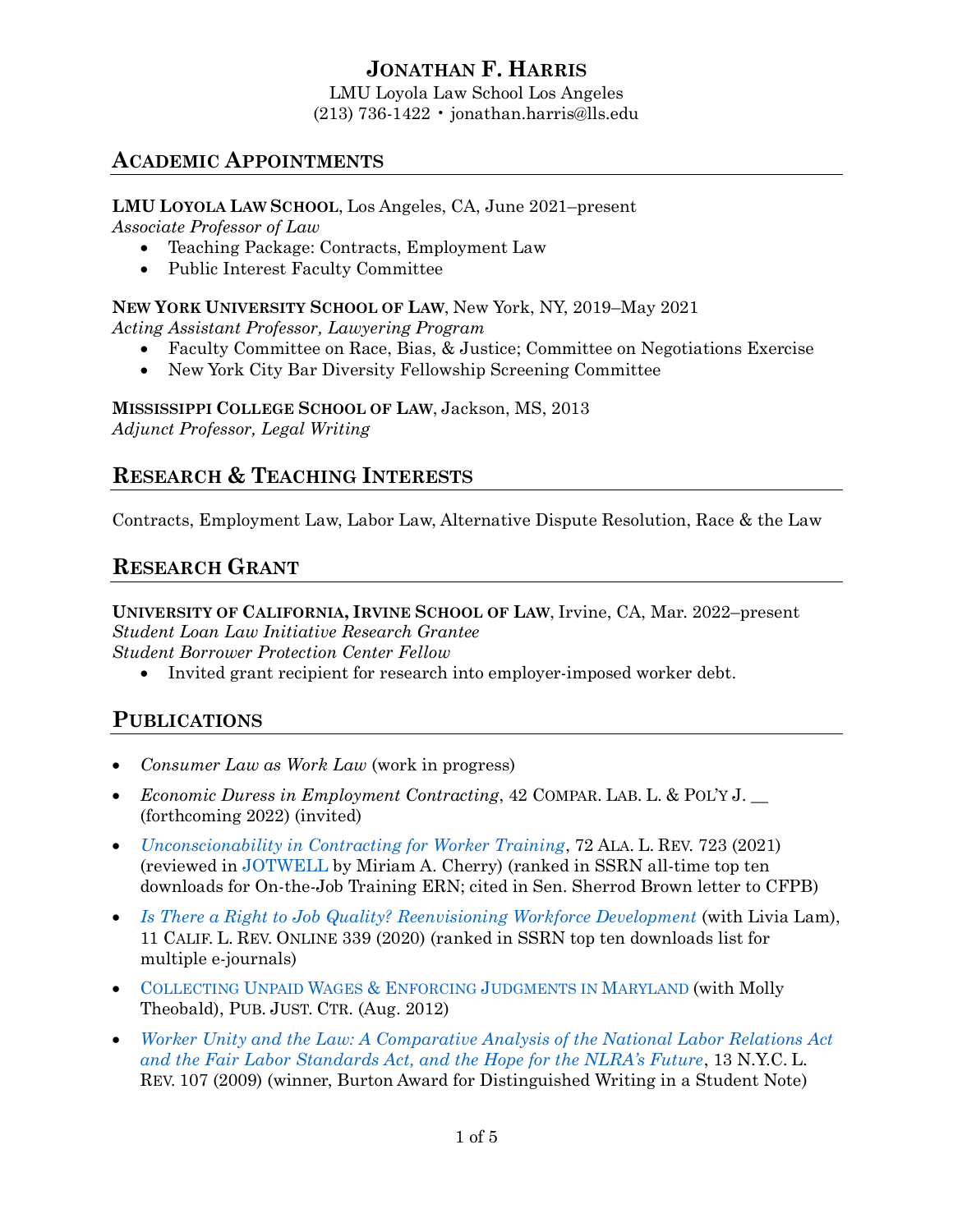# **JONATHAN F. HARRIS**

LMU Loyola Law School Los Angeles (213) 736-1422 • jonathan.harris@lls.edu

## **ACADEMIC APPOINTMENTS**

**LMU LOYOLA LAW SCHOOL**, Los Angeles, CA, June 2021–present *Associate Professor of Law*

- Teaching Package: Contracts, Employment Law
- Public Interest Faculty Committee

**NEW YORK UNIVERSITY SCHOOL OF LAW**, New York, NY, 2019–May 2021

*Acting Assistant Professor, Lawyering Program*

- Faculty Committee on Race, Bias, & Justice; Committee on Negotiations Exercise
- New York City Bar Diversity Fellowship Screening Committee

**MISSISSIPPI COLLEGE SCHOOL OF LAW**, Jackson, MS, 2013 *Adjunct Professor, Legal Writing*

# **RESEARCH & TEACHING INTERESTS**

Contracts, Employment Law, Labor Law, Alternative Dispute Resolution, Race & the Law

# **RESEARCH GRANT**

**UNIVERSITY OF CALIFORNIA, IRVINE SCHOOL OF LAW**, Irvine, CA, Mar. 2022–present *Student Loan Law Initiative Research Grantee Student Borrower Protection Center Fellow* 

• Invited grant recipient for research into employer-imposed worker debt.

# **PUBLICATIONS**

- *Consumer Law as Work Law* (work in progress)
- *Economic Duress in Employment Contracting*, 42 COMPAR. LAB. L. & POL'Y J. \_\_ (forthcoming 2022) (invited)
- *[Unconscionability in Contracting for Worker Training](https://ssrn.com/abstract=3642017)*, 72 ALA. L. REV. 723 (2021) (reviewed in [JOTWELL](https://contracts.jotwell.com/income-sharing-arrangements-and-coding-bootcamps-boom-or-bust-for-the-blue-collar-breadwinner/) by Miriam A. Cherry) (ranked in SSRN all-time top ten downloads for On-the-Job Training ERN; cited in Sen. Sherrod Brown letter to CFPB)
- *[Is There a Right to Job Quality? Reenvisioning Workforce Development](http://ssrn.com/abstract=3644346)* (with Livia Lam), 11 CALIF. L. REV. ONLINE 339 (2020) (ranked in SSRN top ten downloads list for multiple e-journals)
- COLLECTING UNPAID WAGES & ENFORCING J[UDGMENTS IN](http://www.publicjustice.org/wp-content/uploads/2019/09/MD_Wage_Collection_Judgment_Enforcement_Guide_PJC_FINAL.pdf) MARYLAND (with Molly Theobald), PUB. JUST. CTR. (Aug. 2012)
- *[Worker Unity and the Law: A Comparative Analysis of the National Labor Relations Act](https://ssrn.com/abstract=3408162)  [and the Fair Labor Standards Act, and the Hope for the NLRA's Future](https://ssrn.com/abstract=3408162)*, 13 N.Y.C. L. REV. 107 (2009) (winner, Burton Award for Distinguished Writing in a Student Note)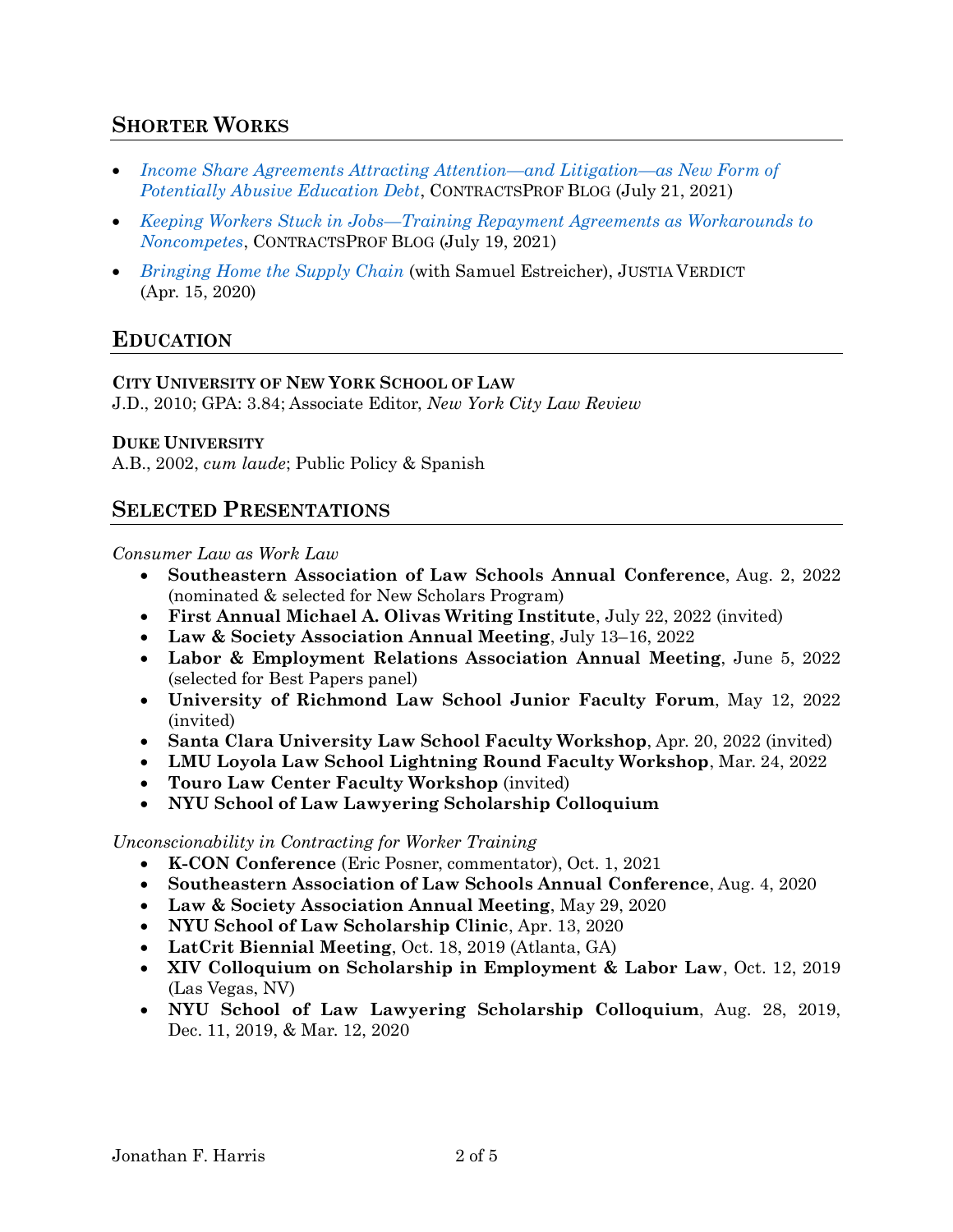## **SHORTER WORKS**

- *[Income Share Agreements Attracting Attention](https://lawprofessors.typepad.com/contractsprof_blog/2021/07/guest-post-2-from-jonathan-harris-income-share-agreements.html)—and Litigation—as New Form of [Potentially Abusive Education Debt](https://lawprofessors.typepad.com/contractsprof_blog/2021/07/guest-post-2-from-jonathan-harris-income-share-agreements.html)*, CONTRACTSPROF BLOG (July 21, 2021)
- *Keeping Workers Stuck in Jobs—[Training Repayment Agreements as Workarounds to](https://lawprofessors.typepad.com/contractsprof_blog/2021/07/guest-post-from-jonathan-harris-on-non-competes.html)  [Noncompetes](https://lawprofessors.typepad.com/contractsprof_blog/2021/07/guest-post-from-jonathan-harris-on-non-competes.html)*, CONTRACTSPROF BLOG (July 19, 2021)
- *[Bringing Home the Supply Chain](https://verdict.justia.com/2020/04/15/bringing-home-the-supply-chain)* (with Samuel Estreicher), JUSTIA VERDICT (Apr. 15, 2020)

### **EDUCATION**

#### **CITY UNIVERSITY OF NEW YORK SCHOOL OF LAW**

J.D., 2010; GPA: 3.84; Associate Editor, *New York City Law Review*

#### **DUKE UNIVERSITY**

A.B., 2002, *cum laude*; Public Policy & Spanish

#### **SELECTED PRESENTATIONS**

#### *Consumer Law as Work Law*

- **Southeastern Association of Law Schools Annual Conference**, Aug. 2, 2022 (nominated & selected for New Scholars Program)
- **First Annual Michael A. Olivas Writing Institute**, July 22, 2022 (invited)
- **Law & Society Association Annual Meeting**, July 13–16, 2022
- **Labor & Employment Relations Association Annual Meeting**, June 5, 2022 (selected for Best Papers panel)
- **University of Richmond Law School Junior Faculty Forum**, May 12, 2022 (invited)
- **Santa Clara University Law School Faculty Workshop**, Apr. 20, 2022 (invited)
- **LMU Loyola Law School Lightning Round Faculty Workshop**, Mar. 24, 2022
- **Touro Law Center Faculty Workshop** (invited)
- **NYU School of Law Lawyering Scholarship Colloquium**

#### *Unconscionability in Contracting for Worker Training*

- **K-CON Conference** (Eric Posner, commentator), Oct. 1, 2021
- **Southeastern Association of Law Schools Annual Conference**, Aug. 4, 2020
- **Law & Society Association Annual Meeting**, May 29, 2020
- **NYU School of Law Scholarship Clinic**, Apr. 13, 2020
- **LatCrit Biennial Meeting**, Oct. 18, 2019 (Atlanta, GA)
- **XIV Colloquium on Scholarship in Employment & Labor Law**, Oct. 12, 2019 (Las Vegas, NV)
- **NYU School of Law Lawyering Scholarship Colloquium**, Aug. 28, 2019, Dec. 11, 2019, & Mar. 12, 2020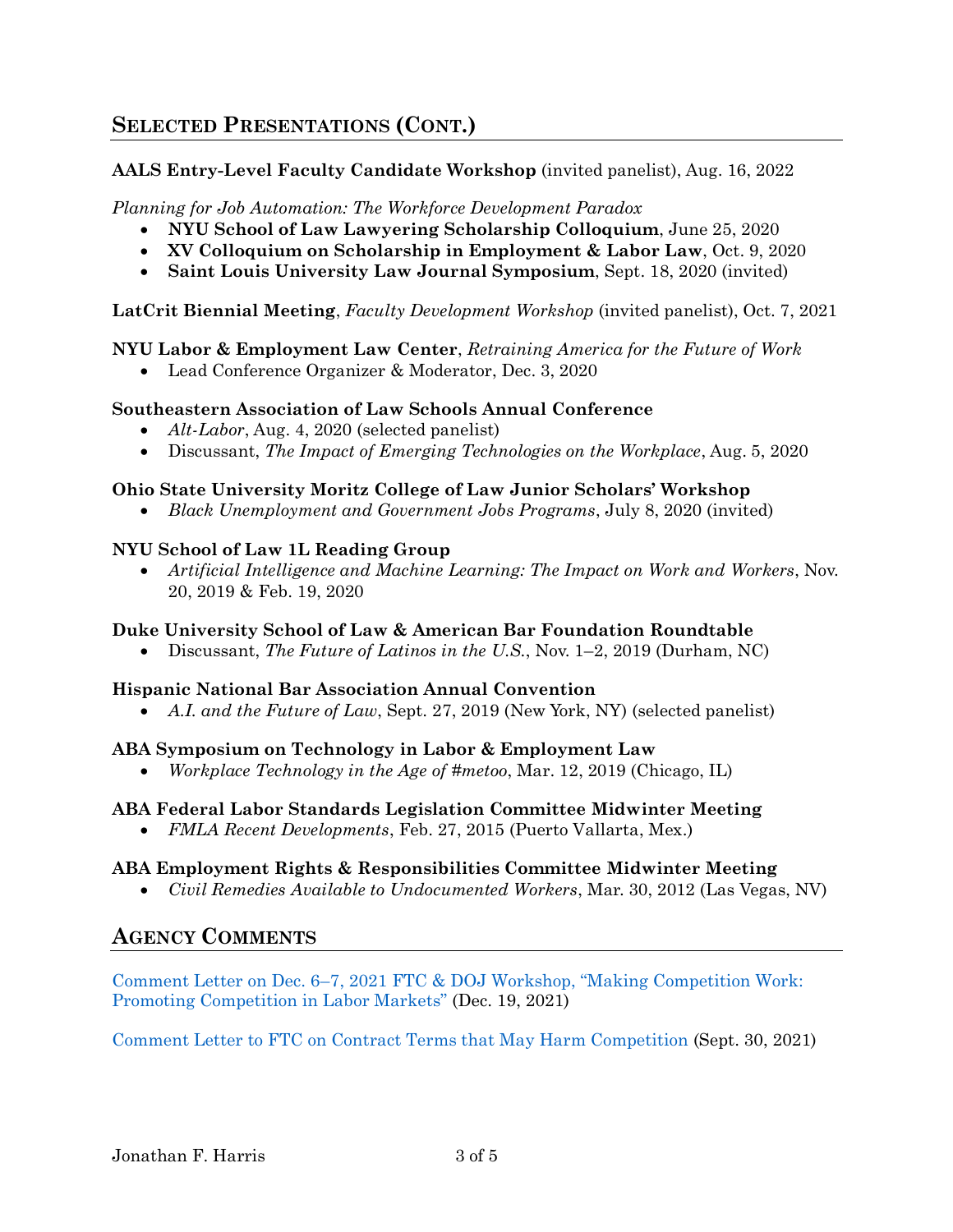## **SELECTED PRESENTATIONS (CONT.)**

#### **AALS Entry-Level Faculty Candidate Workshop** (invited panelist), Aug. 16, 2022

#### *Planning for Job Automation: The Workforce Development Paradox*

- **NYU School of Law Lawyering Scholarship Colloquium**, June 25, 2020
- **XV Colloquium on Scholarship in Employment & Labor Law**, Oct. 9, 2020
- **Saint Louis University Law Journal Symposium**, Sept. 18, 2020 (invited)

#### **LatCrit Biennial Meeting**, *Faculty Development Workshop* (invited panelist), Oct. 7, 2021

#### **NYU Labor & Employment Law Center**, *Retraining America for the Future of Work*

• Lead Conference Organizer & Moderator, Dec. 3, 2020

#### **Southeastern Association of Law Schools Annual Conference**

- *Alt-Labor*, Aug. 4, 2020 (selected panelist)
- Discussant, *The Impact of Emerging Technologies on the Workplace*, Aug. 5, 2020

#### **Ohio State University Moritz College of Law Junior Scholars' Workshop**

• *Black Unemployment and Government Jobs Programs*, July 8, 2020 (invited)

#### **NYU School of Law 1L Reading Group**

• *Artificial Intelligence and Machine Learning: The Impact on Work and Workers*, Nov. 20, 2019 & Feb. 19, 2020

#### **Duke University School of Law & American Bar Foundation Roundtable**

• Discussant, *The Future of Latinos in the U.S.*, Nov. 1–2, 2019 (Durham, NC)

#### **Hispanic National Bar Association Annual Convention**

• *A.I. and the Future of Law*, Sept. 27, 2019 (New York, NY) (selected panelist)

#### **ABA Symposium on Technology in Labor & Employment Law**

• *Workplace Technology in the Age of #metoo*, Mar. 12, 2019 (Chicago, IL)

#### **ABA Federal Labor Standards Legislation Committee Midwinter Meeting**

• *FMLA Recent Developments*, Feb. 27, 2015 (Puerto Vallarta, Mex.)

#### **ABA Employment Rights & Responsibilities Committee Midwinter Meeting**

• *Civil Remedies Available to Undocumented Workers*, Mar. 30, 2012 (Las Vegas, NV)

### **AGENCY COMMENTS**

Comment Letter on Dec. 6[–7, 2021 FTC & DOJ Workshop, "Making Competition Work:](https://www.regulations.gov/comment/FTC-2021-0057-0012)  [Promoting Competition in Labor Markets"](https://www.regulations.gov/comment/FTC-2021-0057-0012) (Dec. 19, 2021)

[Comment Letter to FTC on Contract Terms that May Harm Competition](https://www.regulations.gov/comment/FTC-2021-0036-0271) (Sept. 30, 2021)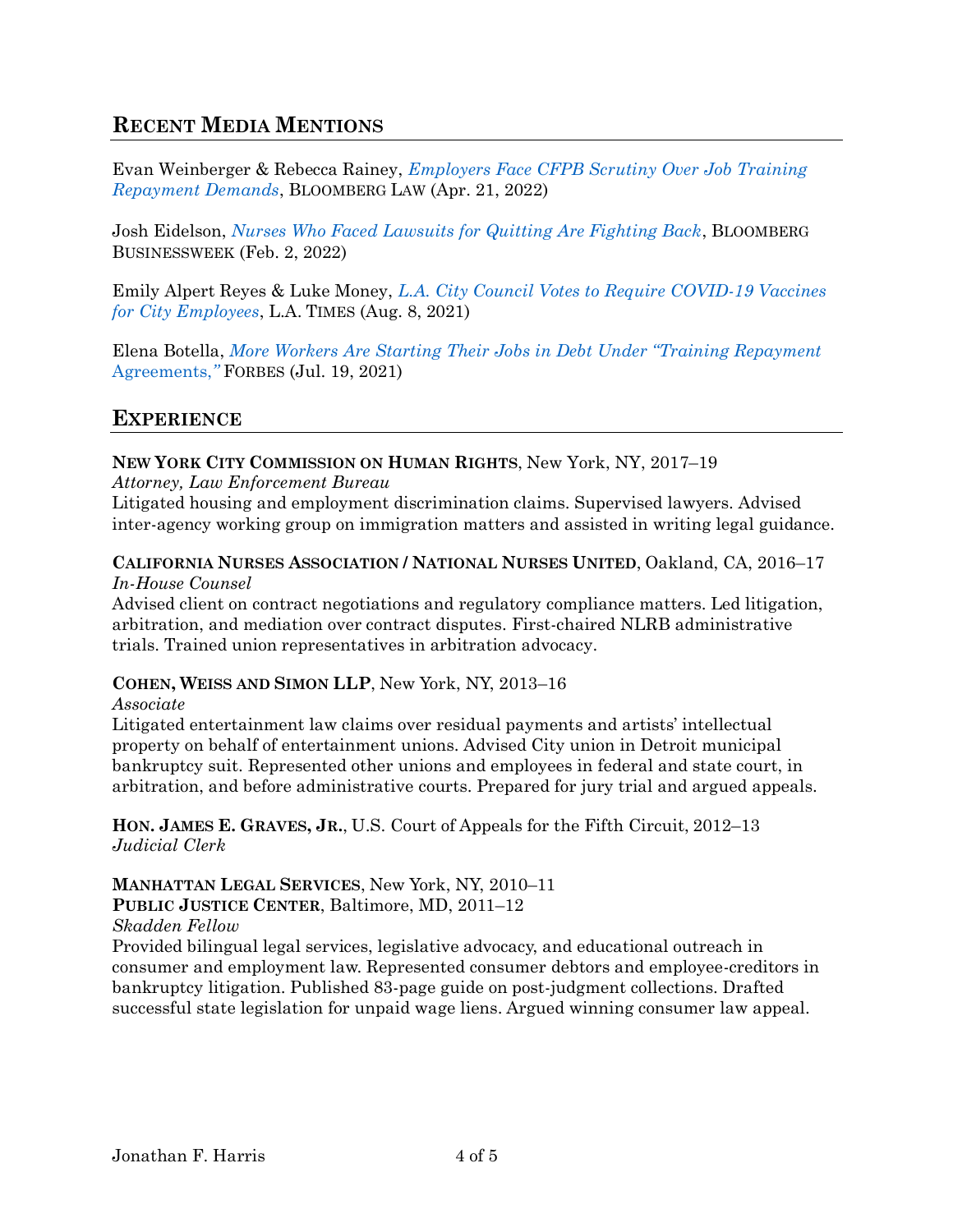## **RECENT MEDIA MENTIONS**

Evan Weinberger & Rebecca Rainey, *[Employers Face CFPB Scrutiny Over Job Training](https://news.bloomberglaw.com/banking-law/employers-face-cfpb-scrutiny-over-job-training-repayment-demands)  [Repayment Demands](https://news.bloomberglaw.com/banking-law/employers-face-cfpb-scrutiny-over-job-training-repayment-demands)*, BLOOMBERG LAW (Apr. 21, 2022)

Josh Eidelson, *[Nurses Who Faced Lawsuits for Quitting Are Fighting Back](https://www.bloomberg.com/news/features/2022-02-02/underpaid-contract-nurses-who-faced-fines-lawsuits-for-quitting-fight-back)*, BLOOMBERG BUSINESSWEEK (Feb. 2, 2022)

Emily Alpert Reyes & Luke Money, *[L.A. City Council Votes to Require COVID-19 Vaccines](https://www.latimes.com/california/story/2021-08-18/covid-vaccines-mandate-los-angeles-city-employees)  [for City Employees](https://www.latimes.com/california/story/2021-08-18/covid-vaccines-mandate-los-angeles-city-employees)*, L.A. TIMES (Aug. 8, 2021)

Elena Botella, *More Workers Are Starting T[heir Jobs in Debt Under "Training Repayment](https://www.forbes.com/sites/elenabotella/2021/07/19/more-workers-are-starting-their-jobs-in-debt-under-training-repayment-agreements/?sh=4daa9c6f7c22)*  [Agreements,](https://www.forbes.com/sites/elenabotella/2021/07/19/more-workers-are-starting-their-jobs-in-debt-under-training-repayment-agreements/?sh=4daa9c6f7c22)*"* FORBES (Jul. 19, 2021)

### **EXPERIENCE**

**NEW YORK CITY COMMISSION ON HUMAN RIGHTS**, New York, NY, 2017–19

*Attorney, Law Enforcement Bureau*

Litigated housing and employment discrimination claims. Supervised lawyers. Advised inter-agency working group on immigration matters and assisted in writing legal guidance.

**CALIFORNIA NURSES ASSOCIATION / NATIONAL NURSES UNITED**, Oakland, CA, 2016–17 *In-House Counsel*

Advised client on contract negotiations and regulatory compliance matters. Led litigation, arbitration, and mediation over contract disputes. First-chaired NLRB administrative trials. Trained union representatives in arbitration advocacy.

#### **COHEN, WEISS AND SIMON LLP**, New York, NY, 2013–16

*Associate*

Litigated entertainment law claims over residual payments and artists' intellectual property on behalf of entertainment unions. Advised City union in Detroit municipal bankruptcy suit. Represented other unions and employees in federal and state court, in arbitration, and before administrative courts. Prepared for jury trial and argued appeals.

**HON. JAMES E. GRAVES, JR.**, U.S. Court of Appeals for the Fifth Circuit, 2012–13 *Judicial Clerk*

**MANHATTAN LEGAL SERVICES**, New York, NY, 2010–11

### **PUBLIC JUSTICE CENTER**, Baltimore, MD, 2011–12

*Skadden Fellow*

Provided bilingual legal services, legislative advocacy, and educational outreach in consumer and employment law. Represented consumer debtors and employee-creditors in bankruptcy litigation. Published 83-page guide on post-judgment collections. Drafted successful state legislation for unpaid wage liens. Argued winning consumer law appeal.